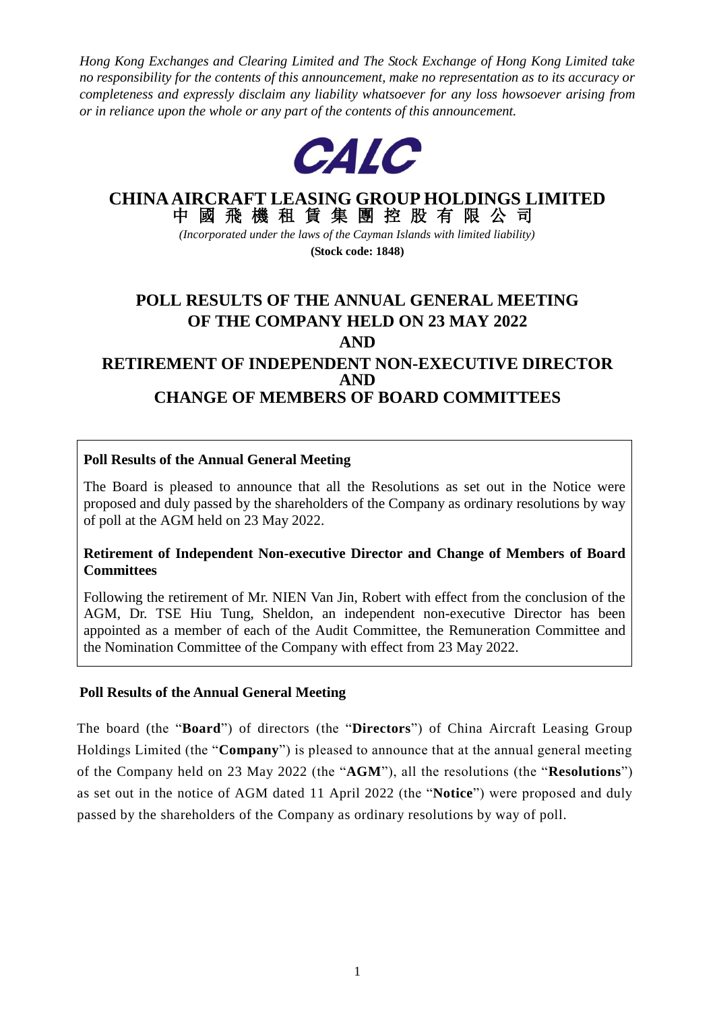*Hong Kong Exchanges and Clearing Limited and The Stock Exchange of Hong Kong Limited take no responsibility for the contents of this announcement, make no representation as to its accuracy or completeness and expressly disclaim any liability whatsoever for any loss howsoever arising from or in reliance upon the whole or any part of the contents of this announcement.*



# **CHINA AIRCRAFT LEASING GROUP HOLDINGS LIMITED**

中 國 飛 機 租 賃 集 團 控 股 有 限 公 司 *(Incorporated under the laws of the Cayman Islands with limited liability)*

**(Stock code: 1848)**

# **POLL RESULTS OF THE ANNUAL GENERAL MEETING OF THE COMPANY HELD ON 23 MAY 2022 AND RETIREMENT OF INDEPENDENT NON-EXECUTIVE DIRECTOR AND CHANGE OF MEMBERS OF BOARD COMMITTEES**

# **Poll Results of the Annual General Meeting**

The Board is pleased to announce that all the Resolutions as set out in the Notice were proposed and duly passed by the shareholders of the Company as ordinary resolutions by way of poll at the AGM held on 23 May 2022.

#### **Retirement of Independent Non-executive Director and Change of Members of Board Committees**

Following the retirement of Mr. NIEN Van Jin, Robert with effect from the conclusion of the AGM, Dr. TSE Hiu Tung, Sheldon, an independent non-executive Director has been appointed as a member of each of the Audit Committee, the Remuneration Committee and the Nomination Committee of the Company with effect from 23 May 2022.

#### **Poll Results of the Annual General Meeting**

The board (the "**Board**") of directors (the "**Directors**") of China Aircraft Leasing Group Holdings Limited (the "**Company**") is pleased to announce that at the annual general meeting of the Company held on 23 May 2022 (the "**AGM**"), all the resolutions (the "**Resolutions**") as set out in the notice of AGM dated 11 April 2022 (the "**Notice**") were proposed and duly passed by the shareholders of the Company as ordinary resolutions by way of poll.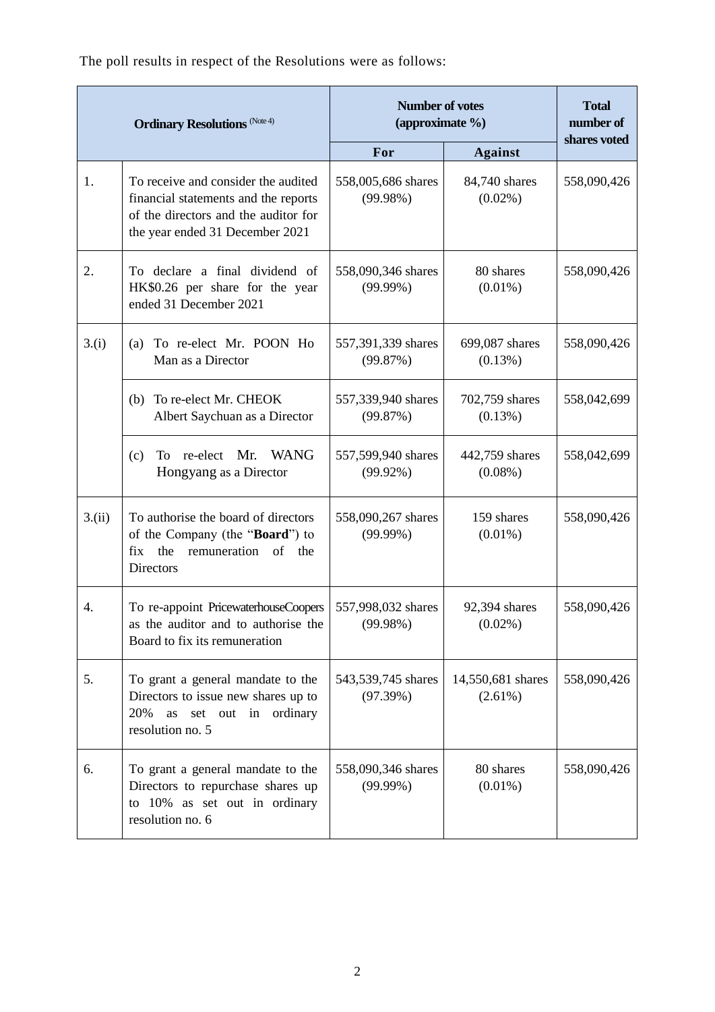The poll results in respect of the Resolutions were as follows:

| <b>Ordinary Resolutions</b> (Note 4) |                                                                                                                                                        | <b>Number of votes</b><br>(approximate %) |                                 | <b>Total</b><br>number of<br>shares voted |
|--------------------------------------|--------------------------------------------------------------------------------------------------------------------------------------------------------|-------------------------------------------|---------------------------------|-------------------------------------------|
|                                      |                                                                                                                                                        | For                                       | <b>Against</b>                  |                                           |
| 1.                                   | To receive and consider the audited<br>financial statements and the reports<br>of the directors and the auditor for<br>the year ended 31 December 2021 | 558,005,686 shares<br>(99.98%)            | 84,740 shares<br>$(0.02\%)$     | 558,090,426                               |
| 2.                                   | To declare a final dividend of<br>HK\$0.26 per share for the year<br>ended 31 December 2021                                                            | 558,090,346 shares<br>$(99.99\%)$         | 80 shares<br>$(0.01\%)$         | 558,090,426                               |
| 3.(i)                                | To re-elect Mr. POON Ho<br>(a)<br>Man as a Director                                                                                                    | 557,391,339 shares<br>(99.87%)            | 699,087 shares<br>$(0.13\%)$    | 558,090,426                               |
|                                      | To re-elect Mr. CHEOK<br>(b)<br>Albert Saychuan as a Director                                                                                          | 557,339,940 shares<br>(99.87%)            | 702,759 shares<br>$(0.13\%)$    | 558,042,699                               |
|                                      | <b>WANG</b><br>re-elect Mr.<br>(c)<br>To<br>Hongyang as a Director                                                                                     | 557,599,940 shares<br>$(99.92\%)$         | 442,759 shares<br>$(0.08\%)$    | 558,042,699                               |
| 3.(ii)                               | To authorise the board of directors<br>of the Company (the "Board") to<br>fix the<br>remuneration of the<br><b>Directors</b>                           | 558,090,267 shares<br>$(99.99\%)$         | 159 shares<br>$(0.01\%)$        | 558,090,426                               |
| 4.                                   | To re-appoint PricewaterhouseCoopers<br>as the auditor and to authorise the<br>Board to fix its remuneration                                           | 557,998,032 shares<br>(99.98%)            | 92,394 shares<br>$(0.02\%)$     | 558,090,426                               |
| 5.                                   | To grant a general mandate to the<br>Directors to issue new shares up to<br>20%<br>set out in ordinary<br>as<br>resolution no. 5                       | 543,539,745 shares<br>(97.39%)            | 14,550,681 shares<br>$(2.61\%)$ | 558,090,426                               |
| 6.                                   | To grant a general mandate to the<br>Directors to repurchase shares up<br>to 10% as set out in ordinary<br>resolution no. 6                            | 558,090,346 shares<br>$(99.99\%)$         | 80 shares<br>$(0.01\%)$         | 558,090,426                               |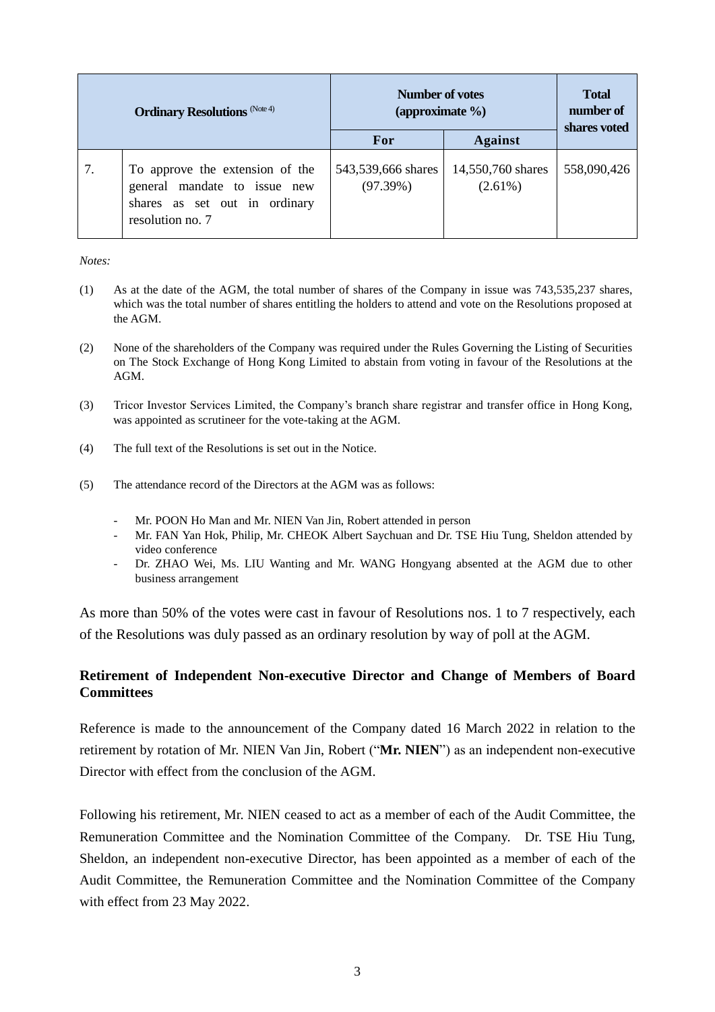| <b>Ordinary Resolutions</b> (Note 4) |                                                                                                                      | Number of votes<br>(approximate $\%$ ) |                                 | <b>Total</b><br>number of<br>shares voted |
|--------------------------------------|----------------------------------------------------------------------------------------------------------------------|----------------------------------------|---------------------------------|-------------------------------------------|
|                                      |                                                                                                                      | For                                    | <b>Against</b>                  |                                           |
| 7.                                   | To approve the extension of the<br>general mandate to issue new<br>shares as set out in ordinary<br>resolution no. 7 | 543,539,666 shares<br>(97.39%)         | 14,550,760 shares<br>$(2.61\%)$ | 558,090,426                               |

*Notes:* 

- (1) As at the date of the AGM, the total number of shares of the Company in issue was 743,535,237 shares, which was the total number of shares entitling the holders to attend and vote on the Resolutions proposed at the AGM.
- (2) None of the shareholders of the Company was required under the Rules Governing the Listing of Securities on The Stock Exchange of Hong Kong Limited to abstain from voting in favour of the Resolutions at the AGM.
- (3) Tricor Investor Services Limited, the Company's branch share registrar and transfer office in Hong Kong, was appointed as scrutineer for the vote-taking at the AGM.
- (4) The full text of the Resolutions is set out in the Notice.
- (5) The attendance record of the Directors at the AGM was as follows:
	- Mr. POON Ho Man and Mr. NIEN Van Jin, Robert attended in person
	- Mr. FAN Yan Hok, Philip, Mr. CHEOK Albert Saychuan and Dr. TSE Hiu Tung, Sheldon attended by video conference
	- Dr. ZHAO Wei, Ms. LIU Wanting and Mr. WANG Hongyang absented at the AGM due to other business arrangement

As more than 50% of the votes were cast in favour of Resolutions nos. 1 to 7 respectively, each of the Resolutions was duly passed as an ordinary resolution by way of poll at the AGM.

# **Retirement of Independent Non-executive Director and Change of Members of Board Committees**

Reference is made to the announcement of the Company dated 16 March 2022 in relation to the retirement by rotation of Mr. NIEN Van Jin, Robert ("**Mr. NIEN**") as an independent non-executive Director with effect from the conclusion of the AGM.

Following his retirement, Mr. NIEN ceased to act as a member of each of the Audit Committee, the Remuneration Committee and the Nomination Committee of the Company. Dr. TSE Hiu Tung, Sheldon, an independent non-executive Director, has been appointed as a member of each of the Audit Committee, the Remuneration Committee and the Nomination Committee of the Company with effect from 23 May 2022.